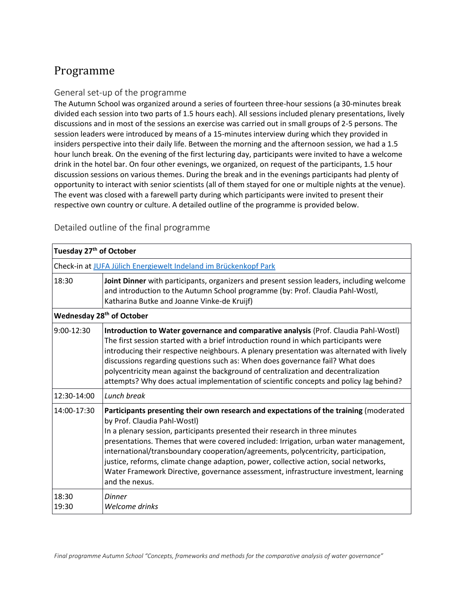## Programme

## General set-up of the programme

The Autumn School was organized around a series of fourteen three-hour sessions (a 30-minutes break divided each session into two parts of 1.5 hours each). All sessions included plenary presentations, lively discussions and in most of the sessions an exercise was carried out in small groups of 2-5 persons. The session leaders were introduced by means of a 15-minutes interview during which they provided in insiders perspective into their daily life. Between the morning and the afternoon session, we had a 1.5 hour lunch break. On the evening of the first lecturing day, participants were invited to have a welcome drink in the hotel bar. On four other evenings, we organized, on request of the participants, 1.5 hour discussion sessions on various themes. During the break and in the evenings participants had plenty of opportunity to interact with senior scientists (all of them stayed for one or multiple nights at the venue). The event was closed with a farewell party during which participants were invited to present their respective own country or culture. A detailed outline of the programme is provided below.

Detailed outline of the final programme

|                | Check-in at JUFA Jülich Energiewelt Indeland im Brückenkopf Park                                                                                                                                                                                                                                                                                                                                                                                                                                                                                                                          |  |  |
|----------------|-------------------------------------------------------------------------------------------------------------------------------------------------------------------------------------------------------------------------------------------------------------------------------------------------------------------------------------------------------------------------------------------------------------------------------------------------------------------------------------------------------------------------------------------------------------------------------------------|--|--|
| 18:30          | Joint Dinner with participants, organizers and present session leaders, including welcome<br>and introduction to the Autumn School programme (by: Prof. Claudia Pahl-Wostl,<br>Katharina Butke and Joanne Vinke-de Kruijf)                                                                                                                                                                                                                                                                                                                                                                |  |  |
|                | Wednesday 28 <sup>th</sup> of October                                                                                                                                                                                                                                                                                                                                                                                                                                                                                                                                                     |  |  |
| $9:00-12:30$   | Introduction to Water governance and comparative analysis (Prof. Claudia Pahl-Wostl)<br>The first session started with a brief introduction round in which participants were<br>introducing their respective neighbours. A plenary presentation was alternated with lively<br>discussions regarding questions such as: When does governance fail? What does<br>polycentricity mean against the background of centralization and decentralization<br>attempts? Why does actual implementation of scientific concepts and policy lag behind?                                                |  |  |
| 12:30-14:00    | Lunch break                                                                                                                                                                                                                                                                                                                                                                                                                                                                                                                                                                               |  |  |
| 14:00-17:30    | Participants presenting their own research and expectations of the training (moderated<br>by Prof. Claudia Pahl-Wostl)<br>In a plenary session, participants presented their research in three minutes<br>presentations. Themes that were covered included: Irrigation, urban water management,<br>international/transboundary cooperation/agreements, polycentricity, participation,<br>justice, reforms, climate change adaption, power, collective action, social networks,<br>Water Framework Directive, governance assessment, infrastructure investment, learning<br>and the nexus. |  |  |
| 18:30<br>19:30 | Dinner<br>Welcome drinks                                                                                                                                                                                                                                                                                                                                                                                                                                                                                                                                                                  |  |  |

## **Tuesday 27th of October**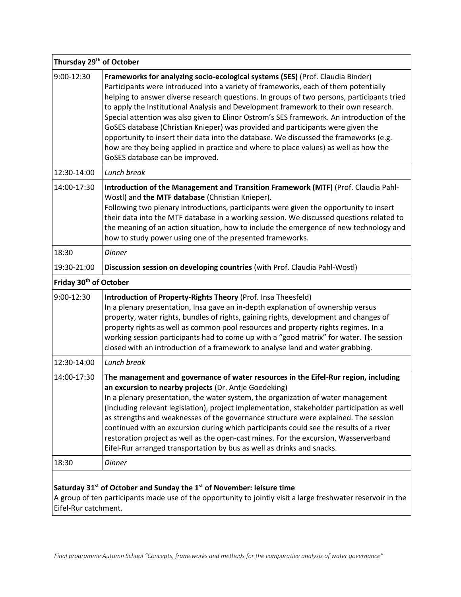| Thursday 29 <sup>th</sup> of October |                                                                                                                                                                                                                                                                                                                                                                                                                                                                                                                                                                                                                                                                                                                                                                 |  |
|--------------------------------------|-----------------------------------------------------------------------------------------------------------------------------------------------------------------------------------------------------------------------------------------------------------------------------------------------------------------------------------------------------------------------------------------------------------------------------------------------------------------------------------------------------------------------------------------------------------------------------------------------------------------------------------------------------------------------------------------------------------------------------------------------------------------|--|
| 9:00-12:30                           | Frameworks for analyzing socio-ecological systems (SES) (Prof. Claudia Binder)<br>Participants were introduced into a variety of frameworks, each of them potentially<br>helping to answer diverse research questions. In groups of two persons, participants tried<br>to apply the Institutional Analysis and Development framework to their own research.<br>Special attention was also given to Elinor Ostrom's SES framework. An introduction of the<br>GoSES database (Christian Knieper) was provided and participants were given the<br>opportunity to insert their data into the database. We discussed the frameworks (e.g.<br>how are they being applied in practice and where to place values) as well as how the<br>GoSES database can be improved. |  |
| 12:30-14:00                          | Lunch break                                                                                                                                                                                                                                                                                                                                                                                                                                                                                                                                                                                                                                                                                                                                                     |  |
| 14:00-17:30                          | Introduction of the Management and Transition Framework (MTF) (Prof. Claudia Pahl-<br>Wostl) and the MTF database (Christian Knieper).<br>Following two plenary introductions, participants were given the opportunity to insert<br>their data into the MTF database in a working session. We discussed questions related to<br>the meaning of an action situation, how to include the emergence of new technology and<br>how to study power using one of the presented frameworks.                                                                                                                                                                                                                                                                             |  |
| 18:30                                | <b>Dinner</b>                                                                                                                                                                                                                                                                                                                                                                                                                                                                                                                                                                                                                                                                                                                                                   |  |
| 19:30-21:00                          | Discussion session on developing countries (with Prof. Claudia Pahl-Wostl)                                                                                                                                                                                                                                                                                                                                                                                                                                                                                                                                                                                                                                                                                      |  |
| Friday 30 <sup>th</sup> of October   |                                                                                                                                                                                                                                                                                                                                                                                                                                                                                                                                                                                                                                                                                                                                                                 |  |
| 9:00-12:30                           | Introduction of Property-Rights Theory (Prof. Insa Theesfeld)<br>In a plenary presentation, Insa gave an in-depth explanation of ownership versus<br>property, water rights, bundles of rights, gaining rights, development and changes of<br>property rights as well as common pool resources and property rights regimes. In a<br>working session participants had to come up with a "good matrix" for water. The session<br>closed with an introduction of a framework to analyse land and water grabbing.                                                                                                                                                                                                                                                   |  |
| 12:30-14:00                          | Lunch break                                                                                                                                                                                                                                                                                                                                                                                                                                                                                                                                                                                                                                                                                                                                                     |  |
| 14:00-17:30                          | The management and governance of water resources in the Eifel-Rur region, including<br>an excursion to nearby projects (Dr. Antje Goedeking)<br>In a plenary presentation, the water system, the organization of water management<br>(including relevant legislation), project implementation, stakeholder participation as well<br>as strengths and weaknesses of the governance structure were explained. The session<br>continued with an excursion during which participants could see the results of a river<br>restoration project as well as the open-cast mines. For the excursion, Wasserverband<br>Eifel-Rur arranged transportation by bus as well as drinks and snacks.                                                                             |  |
| 18:30                                | <b>Dinner</b>                                                                                                                                                                                                                                                                                                                                                                                                                                                                                                                                                                                                                                                                                                                                                   |  |
|                                      |                                                                                                                                                                                                                                                                                                                                                                                                                                                                                                                                                                                                                                                                                                                                                                 |  |

## **Saturday 31st of October and Sunday the 1st of November: leisure time**

A group of ten participants made use of the opportunity to jointly visit a large freshwater reservoir in the Eifel-Rur catchment.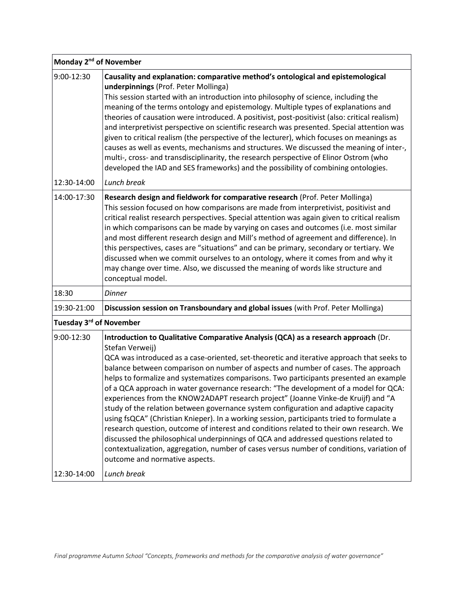| Monday 2 <sup>nd</sup> of November  |                                                                                                                                                                                                                                                                                                                                                                                                                                                                                                                                                                                                                                                                                                                                                                                                                                                                                                                                                                                                                                                                     |
|-------------------------------------|---------------------------------------------------------------------------------------------------------------------------------------------------------------------------------------------------------------------------------------------------------------------------------------------------------------------------------------------------------------------------------------------------------------------------------------------------------------------------------------------------------------------------------------------------------------------------------------------------------------------------------------------------------------------------------------------------------------------------------------------------------------------------------------------------------------------------------------------------------------------------------------------------------------------------------------------------------------------------------------------------------------------------------------------------------------------|
| 9:00-12:30                          | Causality and explanation: comparative method's ontological and epistemological<br>underpinnings (Prof. Peter Mollinga)<br>This session started with an introduction into philosophy of science, including the<br>meaning of the terms ontology and epistemology. Multiple types of explanations and<br>theories of causation were introduced. A positivist, post-positivist (also: critical realism)<br>and interpretivist perspective on scientific research was presented. Special attention was<br>given to critical realism (the perspective of the lecturer), which focuses on meanings as<br>causes as well as events, mechanisms and structures. We discussed the meaning of inter-,<br>multi-, cross- and transdisciplinarity, the research perspective of Elinor Ostrom (who<br>developed the IAD and SES frameworks) and the possibility of combining ontologies.                                                                                                                                                                                        |
| 12:30-14:00                         | Lunch break                                                                                                                                                                                                                                                                                                                                                                                                                                                                                                                                                                                                                                                                                                                                                                                                                                                                                                                                                                                                                                                         |
| 14:00-17:30                         | Research design and fieldwork for comparative research (Prof. Peter Mollinga)<br>This session focused on how comparisons are made from interpretivist, positivist and<br>critical realist research perspectives. Special attention was again given to critical realism<br>in which comparisons can be made by varying on cases and outcomes (i.e. most similar<br>and most different research design and Mill's method of agreement and difference). In<br>this perspectives, cases are "situations" and can be primary, secondary or tertiary. We<br>discussed when we commit ourselves to an ontology, where it comes from and why it<br>may change over time. Also, we discussed the meaning of words like structure and<br>conceptual model.                                                                                                                                                                                                                                                                                                                    |
| 18:30                               | <b>Dinner</b>                                                                                                                                                                                                                                                                                                                                                                                                                                                                                                                                                                                                                                                                                                                                                                                                                                                                                                                                                                                                                                                       |
| 19:30-21:00                         | Discussion session on Transboundary and global issues (with Prof. Peter Mollinga)                                                                                                                                                                                                                                                                                                                                                                                                                                                                                                                                                                                                                                                                                                                                                                                                                                                                                                                                                                                   |
| Tuesday 3 <sup>rd</sup> of November |                                                                                                                                                                                                                                                                                                                                                                                                                                                                                                                                                                                                                                                                                                                                                                                                                                                                                                                                                                                                                                                                     |
| 9:00-12:30                          | Introduction to Qualitative Comparative Analysis (QCA) as a research approach (Dr.<br>Stefan Verweij)<br>QCA was introduced as a case-oriented, set-theoretic and iterative approach that seeks to<br>balance between comparison on number of aspects and number of cases. The approach<br>helps to formalize and systematizes comparisons. Two participants presented an example<br>of a QCA approach in water governance research: "The development of a model for QCA:<br>experiences from the KNOW2ADAPT research project" (Joanne Vinke-de Kruijf) and "A<br>study of the relation between governance system configuration and adaptive capacity<br>using fsQCA" (Christian Knieper). In a working session, participants tried to formulate a<br>research question, outcome of interest and conditions related to their own research. We<br>discussed the philosophical underpinnings of QCA and addressed questions related to<br>contextualization, aggregation, number of cases versus number of conditions, variation of<br>outcome and normative aspects. |
| 12:30-14:00                         | Lunch break                                                                                                                                                                                                                                                                                                                                                                                                                                                                                                                                                                                                                                                                                                                                                                                                                                                                                                                                                                                                                                                         |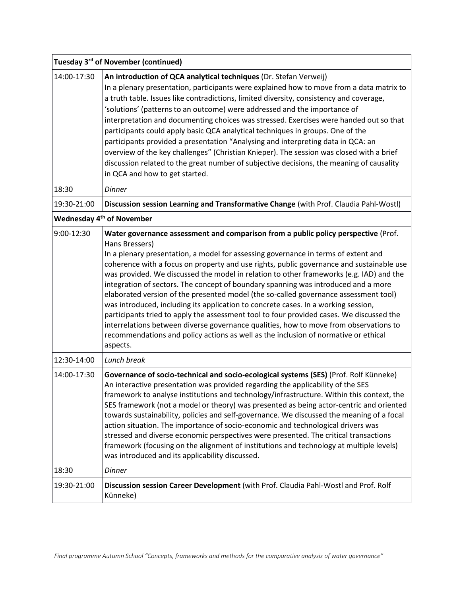| Tuesday 3rd of November (continued)   |                                                                                                                                                                                                                                                                                                                                                                                                                                                                                                                                                                                                                                                                                                                                                                                                                                                                                                                                               |  |
|---------------------------------------|-----------------------------------------------------------------------------------------------------------------------------------------------------------------------------------------------------------------------------------------------------------------------------------------------------------------------------------------------------------------------------------------------------------------------------------------------------------------------------------------------------------------------------------------------------------------------------------------------------------------------------------------------------------------------------------------------------------------------------------------------------------------------------------------------------------------------------------------------------------------------------------------------------------------------------------------------|--|
| 14:00-17:30                           | An introduction of QCA analytical techniques (Dr. Stefan Verweij)<br>In a plenary presentation, participants were explained how to move from a data matrix to<br>a truth table. Issues like contradictions, limited diversity, consistency and coverage,<br>'solutions' (patterns to an outcome) were addressed and the importance of<br>interpretation and documenting choices was stressed. Exercises were handed out so that<br>participants could apply basic QCA analytical techniques in groups. One of the<br>participants provided a presentation "Analysing and interpreting data in QCA: an<br>overview of the key challenges" (Christian Knieper). The session was closed with a brief<br>discussion related to the great number of subjective decisions, the meaning of causality<br>in QCA and how to get started.                                                                                                               |  |
| 18:30                                 | <b>Dinner</b>                                                                                                                                                                                                                                                                                                                                                                                                                                                                                                                                                                                                                                                                                                                                                                                                                                                                                                                                 |  |
| 19:30-21:00                           | Discussion session Learning and Transformative Change (with Prof. Claudia Pahl-Wostl)                                                                                                                                                                                                                                                                                                                                                                                                                                                                                                                                                                                                                                                                                                                                                                                                                                                         |  |
| Wednesday 4 <sup>th</sup> of November |                                                                                                                                                                                                                                                                                                                                                                                                                                                                                                                                                                                                                                                                                                                                                                                                                                                                                                                                               |  |
| 9:00-12:30                            | Water governance assessment and comparison from a public policy perspective (Prof.<br>Hans Bressers)<br>In a plenary presentation, a model for assessing governance in terms of extent and<br>coherence with a focus on property and use rights, public governance and sustainable use<br>was provided. We discussed the model in relation to other frameworks (e.g. IAD) and the<br>integration of sectors. The concept of boundary spanning was introduced and a more<br>elaborated version of the presented model (the so-called governance assessment tool)<br>was introduced, including its application to concrete cases. In a working session,<br>participants tried to apply the assessment tool to four provided cases. We discussed the<br>interrelations between diverse governance qualities, how to move from observations to<br>recommendations and policy actions as well as the inclusion of normative or ethical<br>aspects. |  |
| 12:30-14:00                           | Lunch break                                                                                                                                                                                                                                                                                                                                                                                                                                                                                                                                                                                                                                                                                                                                                                                                                                                                                                                                   |  |
| 14:00-17:30                           | Governance of socio-technical and socio-ecological systems (SES) (Prof. Rolf Künneke)<br>An interactive presentation was provided regarding the applicability of the SES<br>framework to analyse institutions and technology/infrastructure. Within this context, the<br>SES framework (not a model or theory) was presented as being actor-centric and oriented<br>towards sustainability, policies and self-governance. We discussed the meaning of a focal<br>action situation. The importance of socio-economic and technological drivers was<br>stressed and diverse economic perspectives were presented. The critical transactions<br>framework (focusing on the alignment of institutions and technology at multiple levels)<br>was introduced and its applicability discussed.                                                                                                                                                       |  |
| 18:30                                 | <b>Dinner</b>                                                                                                                                                                                                                                                                                                                                                                                                                                                                                                                                                                                                                                                                                                                                                                                                                                                                                                                                 |  |
| 19:30-21:00                           | Discussion session Career Development (with Prof. Claudia Pahl-Wostl and Prof. Rolf<br>Künneke)                                                                                                                                                                                                                                                                                                                                                                                                                                                                                                                                                                                                                                                                                                                                                                                                                                               |  |